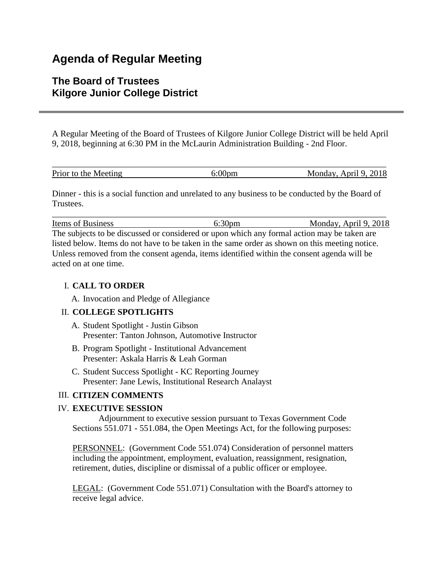# **Agenda of Regular Meeting**

# **The Board of Trustees Kilgore Junior College District**

A Regular Meeting of the Board of Trustees of Kilgore Junior College District will be held April 9, 2018, beginning at 6:30 PM in the McLaurin Administration Building - 2nd Floor.

| Prior to the Meeting | Monday, April 9, 2018 |
|----------------------|-----------------------|

Dinner - this is a social function and unrelated to any business to be conducted by the Board of **Trustees** 

\_\_\_\_\_\_\_\_\_\_\_\_\_\_\_\_\_\_\_\_\_\_\_\_\_\_\_\_\_\_\_\_\_\_\_\_\_\_\_\_\_\_\_\_\_\_\_\_\_\_\_\_\_\_\_\_\_\_\_\_\_\_\_\_\_\_\_\_\_\_\_\_\_\_\_\_\_ Items of Business 6:30pm 6:30pm Monday, April 9, 2018 The subjects to be discussed or considered or upon which any formal action may be taken are

listed below. Items do not have to be taken in the same order as shown on this meeting notice. Unless removed from the consent agenda, items identified within the consent agenda will be acted on at one time.

## I. **CALL TO ORDER**

A. Invocation and Pledge of Allegiance

### II. **COLLEGE SPOTLIGHTS**

- A. Student Spotlight Justin Gibson Presenter: Tanton Johnson, Automotive Instructor
- B. Program Spotlight Institutional Advancement Presenter: Askala Harris & Leah Gorman
- C. Student Success Spotlight KC Reporting Journey Presenter: Jane Lewis, Institutional Research Analayst

### III. **CITIZEN COMMENTS**

### IV. **EXECUTIVE SESSION**

 Adjournment to executive session pursuant to Texas Government Code Sections 551.071 - 551.084, the Open Meetings Act, for the following purposes:

PERSONNEL: (Government Code 551.074) Consideration of personnel matters including the appointment, employment, evaluation, reassignment, resignation, retirement, duties, discipline or dismissal of a public officer or employee.

LEGAL: (Government Code 551.071) Consultation with the Board's attorney to receive legal advice.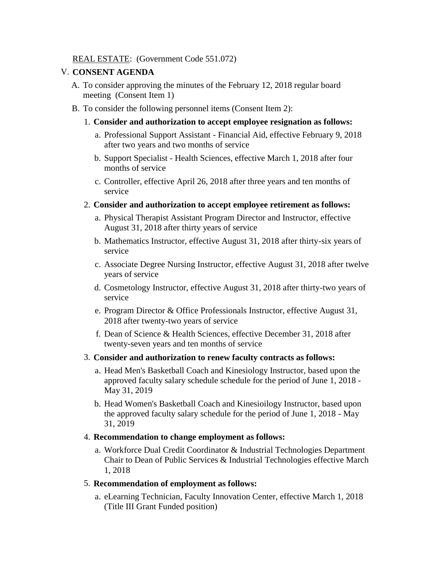#### REAL ESTATE: (Government Code 551.072)

#### V. **CONSENT AGENDA**

- A. To consider approving the minutes of the February 12, 2018 regular board meeting (Consent Item 1)
- B. To consider the following personnel items (Consent Item 2):
	- 1. **Consider and authorization to accept employee resignation as follows:**
		- a. Professional Support Assistant Financial Aid, effective February 9, 2018 after two years and two months of service
		- b. Support Specialist Health Sciences, effective March 1, 2018 after four months of service
		- c. Controller, effective April 26, 2018 after three years and ten months of service
	- 2. **Consider and authorization to accept employee retirement as follows:**
		- a. Physical Therapist Assistant Program Director and Instructor, effective August 31, 2018 after thirty years of service
		- b. Mathematics Instructor, effective August 31, 2018 after thirty-six years of service
		- c. Associate Degree Nursing Instructor, effective August 31, 2018 after twelve years of service
		- d. Cosmetology Instructor, effective August 31, 2018 after thirty-two years of service
		- e. Program Director & Office Professionals Instructor, effective August 31, 2018 after twenty-two years of service
		- f. Dean of Science & Health Sciences, effective December 31, 2018 after twenty-seven years and ten months of service
	- 3. **Consider and authorization to renew faculty contracts as follows:**
		- a. Head Men's Basketball Coach and Kinesiology Instructor, based upon the approved faculty salary schedule schedule for the period of June 1, 2018 - May 31, 2019
		- b. Head Women's Basketball Coach and Kinesioilogy Instructor, based upon the approved faculty salary schedule for the period of June 1, 2018 - May 31, 2019

#### 4. **Recommendation to change employment as follows:**

a. Workforce Dual Credit Coordinator & Industrial Technologies Department Chair to Dean of Public Services & Industrial Technologies effective March 1, 2018

#### 5. **Recommendation of employment as follows:**

a. eLearning Technician, Faculty Innovation Center, effective March 1, 2018 (Title III Grant Funded position)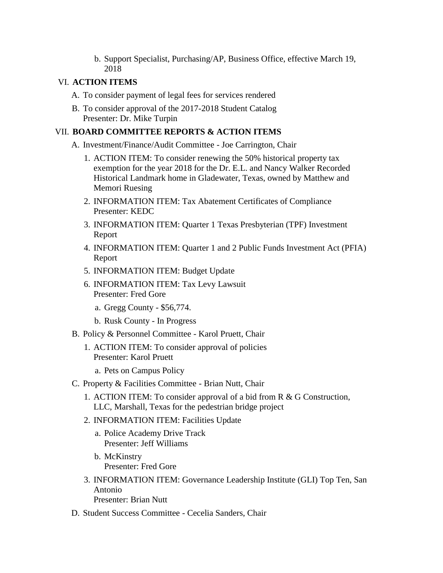b. Support Specialist, Purchasing/AP, Business Office, effective March 19, 2018

#### VI. **ACTION ITEMS**

- A. To consider payment of legal fees for services rendered
- B. To consider approval of the 2017-2018 Student Catalog Presenter: Dr. Mike Turpin

#### VII. **BOARD COMMITTEE REPORTS & ACTION ITEMS**

- A. Investment/Finance/Audit Committee Joe Carrington, Chair
	- 1. ACTION ITEM: To consider renewing the 50% historical property tax exemption for the year 2018 for the Dr. E.L. and Nancy Walker Recorded Historical Landmark home in Gladewater, Texas, owned by Matthew and Memori Ruesing
	- 2. INFORMATION ITEM: Tax Abatement Certificates of Compliance Presenter: KEDC
	- 3. INFORMATION ITEM: Quarter 1 Texas Presbyterian (TPF) Investment Report
	- 4. INFORMATION ITEM: Quarter 1 and 2 Public Funds Investment Act (PFIA) Report
	- 5. INFORMATION ITEM: Budget Update
	- 6. INFORMATION ITEM: Tax Levy Lawsuit Presenter: Fred Gore
		- a. Gregg County \$56,774.
		- b. Rusk County In Progress
- B. Policy & Personnel Committee Karol Pruett, Chair
	- 1. ACTION ITEM: To consider approval of policies Presenter: Karol Pruett
		- a. Pets on Campus Policy
- C. Property & Facilities Committee Brian Nutt, Chair
	- 1. ACTION ITEM: To consider approval of a bid from R & G Construction, LLC, Marshall, Texas for the pedestrian bridge project
	- 2. INFORMATION ITEM: Facilities Update
		- a. Police Academy Drive Track Presenter: Jeff Williams
		- b. McKinstry Presenter: Fred Gore
	- 3. INFORMATION ITEM: Governance Leadership Institute (GLI) Top Ten, San Antonio Presenter: Brian Nutt
- D. Student Success Committee Cecelia Sanders, Chair